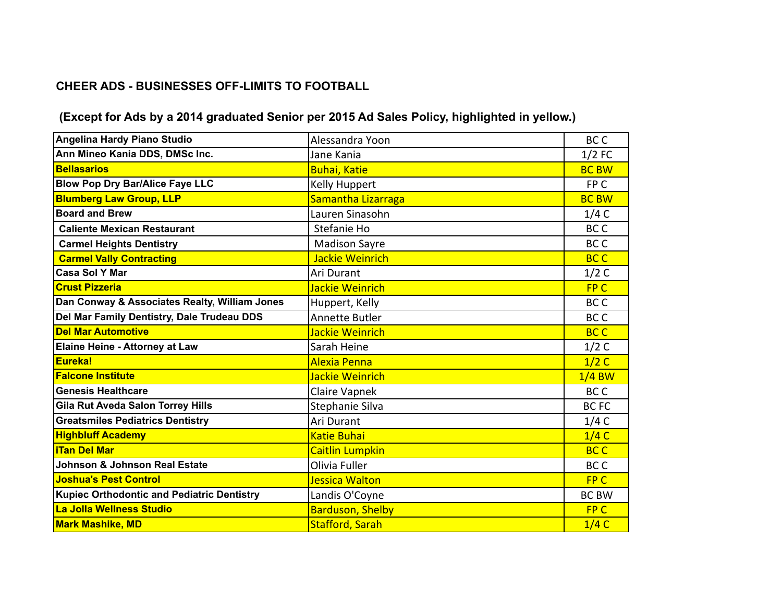## **CHEER ADS - BUSINESSES OFF-LIMITS TO FOOTBALL**

## **(Except for Ads by a 2014 graduated Senior per 2015 Ad Sales Policy, highlighted in yellow.)**

| Angelina Hardy Piano Studio                   | Alessandra Yoon         | BC <sub>C</sub> |
|-----------------------------------------------|-------------------------|-----------------|
| Ann Mineo Kania DDS, DMSc Inc.                | Jane Kania              | $1/2$ FC        |
| <b>Bellasarios</b>                            | <b>Buhai, Katie</b>     | <b>BC BW</b>    |
| <b>Blow Pop Dry Bar/Alice Faye LLC</b>        | Kelly Huppert           | FP C            |
| <b>Blumberg Law Group, LLP</b>                | Samantha Lizarraga      | <b>BC BW</b>    |
| <b>Board and Brew</b>                         | Lauren Sinasohn         | 1/4C            |
| <b>Caliente Mexican Restaurant</b>            | Stefanie Ho             | BC <sub>C</sub> |
| <b>Carmel Heights Dentistry</b>               | <b>Madison Sayre</b>    | BC <sub>C</sub> |
| <b>Carmel Vally Contracting</b>               | Jackie Weinrich         | <b>BCC</b>      |
| <b>Casa Sol Y Mar</b>                         | Ari Durant              | 1/2C            |
| <b>Crust Pizzeria</b>                         | Jackie Weinrich         | FP C            |
| Dan Conway & Associates Realty, William Jones | Huppert, Kelly          | BC <sub>C</sub> |
| Del Mar Family Dentistry, Dale Trudeau DDS    | <b>Annette Butler</b>   | BC <sub>C</sub> |
| <b>Del Mar Automotive</b>                     | Jackie Weinrich         | <b>BCC</b>      |
| Elaine Heine - Attorney at Law                | Sarah Heine             | 1/2C            |
| Eureka!                                       | <b>Alexia Penna</b>     | 1/2C            |
| <b>Falcone Institute</b>                      | <b>Jackie Weinrich</b>  | $1/4$ BW        |
| <b>Genesis Healthcare</b>                     | Claire Vapnek           | BC <sub>C</sub> |
| <b>Gila Rut Aveda Salon Torrey Hills</b>      | Stephanie Silva         | <b>BCFC</b>     |
| <b>Greatsmiles Pediatrics Dentistry</b>       | Ari Durant              | 1/4C            |
| <b>Highbluff Academy</b>                      | <b>Katie Buhai</b>      | 1/4C            |
| <b>iTan Del Mar</b>                           | <b>Caitlin Lumpkin</b>  | <b>BCC</b>      |
| <b>Johnson &amp; Johnson Real Estate</b>      | Olivia Fuller           | BC <sub>C</sub> |
| <b>Joshua's Pest Control</b>                  | Jessica Walton          | FP C            |
| Kupiec Orthodontic and Pediatric Dentistry    | Landis O'Coyne          | <b>BC BW</b>    |
| La Jolla Wellness Studio                      | <b>Barduson, Shelby</b> | FP C            |
| <b>Mark Mashike, MD</b>                       | Stafford, Sarah         | 1/4C            |